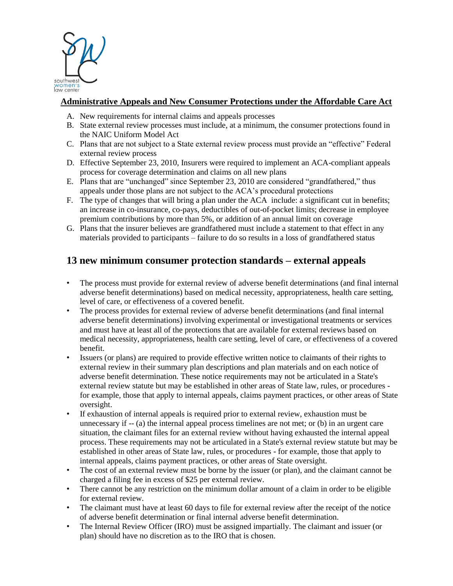

## **Administrative Appeals and New Consumer Protections under the Affordable Care Act**

- A. New requirements for internal claims and appeals processes
- B. State external review processes must include, at a minimum, the consumer protections found in the NAIC Uniform Model Act
- C. Plans that are not subject to a State external review process must provide an "effective" Federal external review process
- D. Effective September 23, 2010, Insurers were required to implement an ACA-compliant appeals process for coverage determination and claims on all new plans
- E. Plans that are "unchanged" since September 23, 2010 are considered "grandfathered," thus appeals under those plans are not subject to the ACA's procedural protections
- F. The type of changes that will bring a plan under the ACA include: a significant cut in benefits; an increase in co-insurance, co-pays, deductibles of out-of-pocket limits; decrease in employee premium contributions by more than 5%, or addition of an annual limit on coverage
- G. Plans that the insurer believes are grandfathered must include a statement to that effect in any materials provided to participants – failure to do so results in a loss of grandfathered status

# **13 new minimum consumer protection standards – external appeals**

- The process must provide for external review of adverse benefit determinations (and final internal adverse benefit determinations) based on medical necessity, appropriateness, health care setting, level of care, or effectiveness of a covered benefit.
- The process provides for external review of adverse benefit determinations (and final internal adverse benefit determinations) involving experimental or investigational treatments or services and must have at least all of the protections that are available for external reviews based on medical necessity, appropriateness, health care setting, level of care, or effectiveness of a covered benefit.
- Issuers (or plans) are required to provide effective written notice to claimants of their rights to external review in their summary plan descriptions and plan materials and on each notice of adverse benefit determination. These notice requirements may not be articulated in a State's external review statute but may be established in other areas of State law, rules, or procedures for example, those that apply to internal appeals, claims payment practices, or other areas of State oversight.
- If exhaustion of internal appeals is required prior to external review, exhaustion must be unnecessary if  $-$  (a) the internal appeal process timelines are not met; or (b) in an urgent care situation, the claimant files for an external review without having exhausted the internal appeal process. These requirements may not be articulated in a State's external review statute but may be established in other areas of State law, rules, or procedures - for example, those that apply to internal appeals, claims payment practices, or other areas of State oversight.
- The cost of an external review must be borne by the issuer (or plan), and the claimant cannot be charged a filing fee in excess of \$25 per external review.
- There cannot be any restriction on the minimum dollar amount of a claim in order to be eligible for external review.
- The claimant must have at least 60 days to file for external review after the receipt of the notice of adverse benefit determination or final internal adverse benefit determination.
- The Internal Review Officer (IRO) must be assigned impartially. The claimant and issuer (or plan) should have no discretion as to the IRO that is chosen.